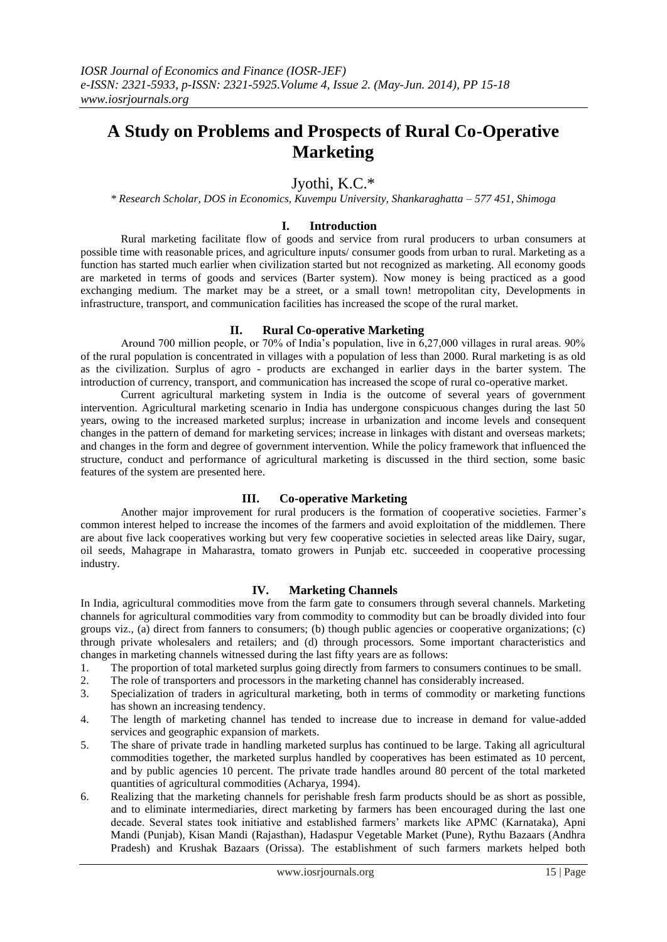# **A Study on Problems and Prospects of Rural Co-Operative Marketing**

## Jyothi, K.C.\*

*\* Research Scholar, DOS in Economics, Kuvempu University, Shankaraghatta – 577 451, Shimoga*

### **I. Introduction**

Rural marketing facilitate flow of goods and service from rural producers to urban consumers at possible time with reasonable prices, and agriculture inputs/ consumer goods from urban to rural. Marketing as a function has started much earlier when civilization started but not recognized as marketing. All economy goods are marketed in terms of goods and services (Barter system). Now money is being practiced as a good exchanging medium. The market may be a street, or a small town! metropolitan city, Developments in infrastructure, transport, and communication facilities has increased the scope of the rural market.

#### **II. Rural Co-operative Marketing**

Around 700 million people, or 70% of India's population, live in 6,27,000 villages in rural areas. 90% of the rural population is concentrated in villages with a population of less than 2000. Rural marketing is as old as the civilization. Surplus of agro - products are exchanged in earlier days in the barter system. The introduction of currency, transport, and communication has increased the scope of rural co-operative market.

Current agricultural marketing system in India is the outcome of several years of government intervention. Agricultural marketing scenario in India has undergone conspicuous changes during the last 50 years, owing to the increased marketed surplus; increase in urbanization and income levels and consequent changes in the pattern of demand for marketing services; increase in linkages with distant and overseas markets; and changes in the form and degree of government intervention. While the policy framework that influenced the structure, conduct and performance of agricultural marketing is discussed in the third section, some basic features of the system are presented here.

### **III. Co-operative Marketing**

Another major improvement for rural producers is the formation of cooperative societies. Farmer's common interest helped to increase the incomes of the farmers and avoid exploitation of the middlemen. There are about five lack cooperatives working but very few cooperative societies in selected areas like Dairy, sugar, oil seeds, Mahagrape in Maharastra, tomato growers in Punjab etc. succeeded in cooperative processing industry.

### **IV. Marketing Channels**

In India, agricultural commodities move from the farm gate to consumers through several channels. Marketing channels for agricultural commodities vary from commodity to commodity but can be broadly divided into four groups viz., (a) direct from fanners to consumers; (b) though public agencies or cooperative organizations; (c) through private wholesalers and retailers; and (d) through processors. Some important characteristics and changes in marketing channels witnessed during the last fifty years are as follows:

- 1. The proportion of total marketed surplus going directly from farmers to consumers continues to be small.
- 2. The role of transporters and processors in the marketing channel has considerably increased.
- 3. Specialization of traders in agricultural marketing, both in terms of commodity or marketing functions has shown an increasing tendency.
- 4. The length of marketing channel has tended to increase due to increase in demand for value-added services and geographic expansion of markets.
- 5. The share of private trade in handling marketed surplus has continued to be large. Taking all agricultural commodities together, the marketed surplus handled by cooperatives has been estimated as 10 percent, and by public agencies 10 percent. The private trade handles around 80 percent of the total marketed quantities of agricultural commodities (Acharya, 1994).
- 6. Realizing that the marketing channels for perishable fresh farm products should be as short as possible, and to eliminate intermediaries, direct marketing by farmers has been encouraged during the last one decade. Several states took initiative and established farmers' markets like APMC (Karnataka), Apni Mandi (Punjab), Kisan Mandi (Rajasthan), Hadaspur Vegetable Market (Pune), Rythu Bazaars (Andhra Pradesh) and Krushak Bazaars (Orissa). The establishment of such farmers markets helped both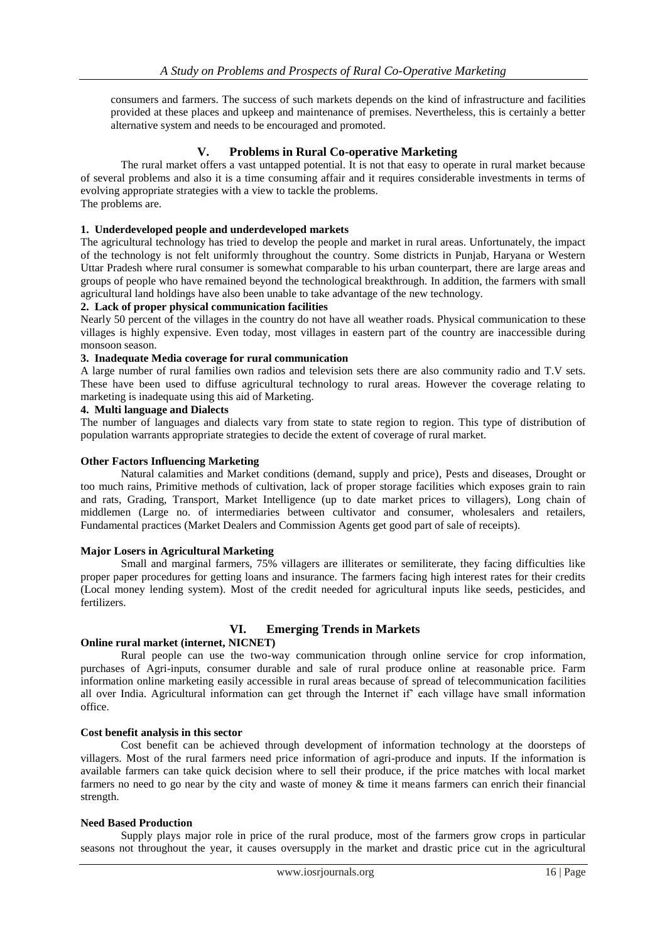consumers and farmers. The success of such markets depends on the kind of infrastructure and facilities provided at these places and upkeep and maintenance of premises. Nevertheless, this is certainly a better alternative system and needs to be encouraged and promoted.

### **V. Problems in Rural Co-operative Marketing**

The rural market offers a vast untapped potential. It is not that easy to operate in rural market because of several problems and also it is a time consuming affair and it requires considerable investments in terms of evolving appropriate strategies with a view to tackle the problems. The problems are.

#### **1. Underdeveloped people and underdeveloped markets**

The agricultural technology has tried to develop the people and market in rural areas. Unfortunately, the impact of the technology is not felt uniformly throughout the country. Some districts in Punjab, Haryana or Western Uttar Pradesh where rural consumer is somewhat comparable to his urban counterpart, there are large areas and groups of people who have remained beyond the technological breakthrough. In addition, the farmers with small agricultural land holdings have also been unable to take advantage of the new technology.

#### **2. Lack of proper physical communication facilities**

Nearly 50 percent of the villages in the country do not have all weather roads. Physical communication to these villages is highly expensive. Even today, most villages in eastern part of the country are inaccessible during monsoon season.

#### **3. Inadequate Media coverage for rural communication**

A large number of rural families own radios and television sets there are also community radio and T.V sets. These have been used to diffuse agricultural technology to rural areas. However the coverage relating to marketing is inadequate using this aid of Marketing.

### **4. Multi language and Dialects**

The number of languages and dialects vary from state to state region to region. This type of distribution of population warrants appropriate strategies to decide the extent of coverage of rural market.

#### **Other Factors Influencing Marketing**

Natural calamities and Market conditions (demand, supply and price), Pests and diseases, Drought or too much rains, Primitive methods of cultivation, lack of proper storage facilities which exposes grain to rain and rats, Grading, Transport, Market Intelligence (up to date market prices to villagers), Long chain of middlemen (Large no. of intermediaries between cultivator and consumer, wholesalers and retailers, Fundamental practices (Market Dealers and Commission Agents get good part of sale of receipts).

#### **Major Losers in Agricultural Marketing**

Small and marginal farmers, 75% villagers are illiterates or semiliterate, they facing difficulties like proper paper procedures for getting loans and insurance. The farmers facing high interest rates for their credits (Local money lending system). Most of the credit needed for agricultural inputs like seeds, pesticides, and fertilizers.

### **VI. Emerging Trends in Markets**

#### **Online rural market (internet, NICNET)**

Rural people can use the two-way communication through online service for crop information, purchases of Agri-inputs, consumer durable and sale of rural produce online at reasonable price. Farm information online marketing easily accessible in rural areas because of spread of telecommunication facilities all over India. Agricultural information can get through the Internet if' each village have small information office.

#### **Cost benefit analysis in this sector**

Cost benefit can be achieved through development of information technology at the doorsteps of villagers. Most of the rural farmers need price information of agri-produce and inputs. If the information is available farmers can take quick decision where to sell their produce, if the price matches with local market farmers no need to go near by the city and waste of money & time it means farmers can enrich their financial strength.

#### **Need Based Production**

Supply plays major role in price of the rural produce, most of the farmers grow crops in particular seasons not throughout the year, it causes oversupply in the market and drastic price cut in the agricultural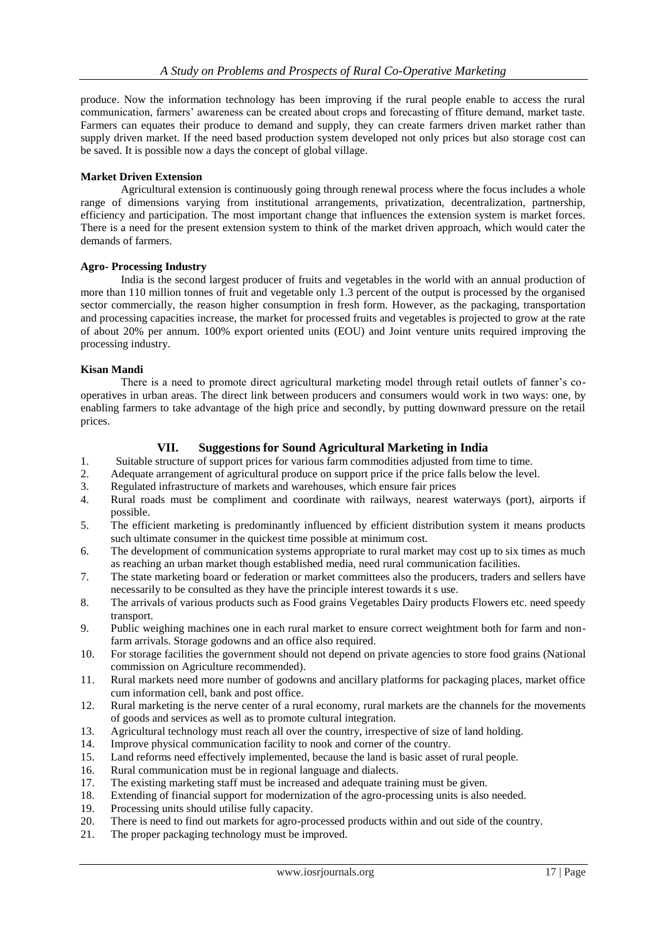produce. Now the information technology has been improving if the rural people enable to access the rural communication, farmers' awareness can be created about crops and forecasting of ffiture demand, market taste. Farmers can equates their produce to demand and supply, they can create farmers driven market rather than supply driven market. If the need based production system developed not only prices but also storage cost can be saved. It is possible now a days the concept of global village.

### **Market Driven Extension**

Agricultural extension is continuously going through renewal process where the focus includes a whole range of dimensions varying from institutional arrangements, privatization, decentralization, partnership, efficiency and participation. The most important change that influences the extension system is market forces. There is a need for the present extension system to think of the market driven approach, which would cater the demands of farmers.

### **Agro- Processing Industry**

India is the second largest producer of fruits and vegetables in the world with an annual production of more than 110 million tonnes of fruit and vegetable only 1.3 percent of the output is processed by the organised sector commercially, the reason higher consumption in fresh form. However, as the packaging, transportation and processing capacities increase, the market for processed fruits and vegetables is projected to grow at the rate of about 20% per annum. 100% export oriented units (EOU) and Joint venture units required improving the processing industry.

### **Kisan Mandi**

There is a need to promote direct agricultural marketing model through retail outlets of fanner's cooperatives in urban areas. The direct link between producers and consumers would work in two ways: one, by enabling farmers to take advantage of the high price and secondly, by putting downward pressure on the retail prices.

### **VII. Suggestions for Sound Agricultural Marketing in India**

- 1. Suitable structure of support prices for various farm commodities adjusted from time to time.
- 2. Adequate arrangement of agricultural produce on support price if the price falls below the level.
- 3. Regulated infrastructure of markets and warehouses, which ensure fair prices
- 4. Rural roads must be compliment and coordinate with railways, nearest waterways (port), airports if possible.
- 5. The efficient marketing is predominantly influenced by efficient distribution system it means products such ultimate consumer in the quickest time possible at minimum cost.
- 6. The development of communication systems appropriate to rural market may cost up to six times as much as reaching an urban market though established media, need rural communication facilities.
- 7. The state marketing board or federation or market committees also the producers, traders and sellers have necessarily to be consulted as they have the principle interest towards it s use.
- 8. The arrivals of various products such as Food grains Vegetables Dairy products Flowers etc. need speedy transport.
- 9. Public weighing machines one in each rural market to ensure correct weightment both for farm and nonfarm arrivals. Storage godowns and an office also required.
- 10. For storage facilities the government should not depend on private agencies to store food grains (National commission on Agriculture recommended).
- 11. Rural markets need more number of godowns and ancillary platforms for packaging places, market office cum information cell, bank and post office.
- 12. Rural marketing is the nerve center of a rural economy, rural markets are the channels for the movements of goods and services as well as to promote cultural integration.
- 13. Agricultural technology must reach all over the country, irrespective of size of land holding.
- 14. Improve physical communication facility to nook and corner of the country.
- 15. Land reforms need effectively implemented, because the land is basic asset of rural people.
- 16. Rural communication must be in regional language and dialects.
- 17. The existing marketing staff must be increased and adequate training must be given.
- 18. Extending of financial support for modernization of the agro-processing units is also needed.
- 19. Processing units should utilise fully capacity.
- 20. There is need to find out markets for agro-processed products within and out side of the country.
- 21. The proper packaging technology must be improved.